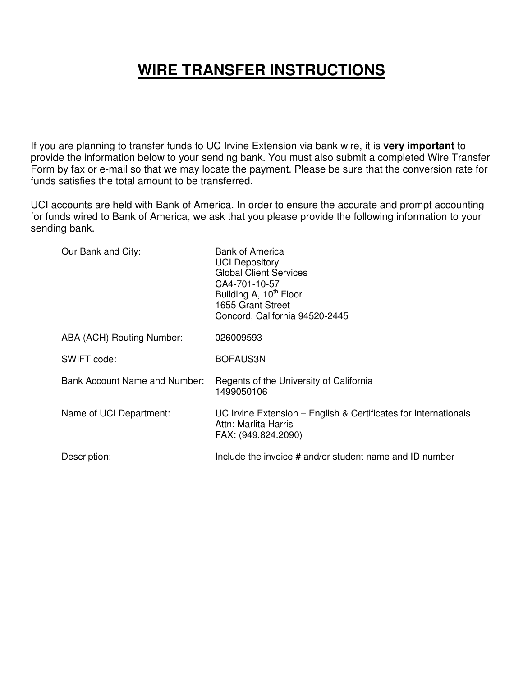## **WIRE TRANSFER INSTRUCTIONS**

If you are planning to transfer funds to UC Irvine Extension via bank wire, it is **very important** to provide the information below to your sending bank. You must also submit a completed Wire Transfer Form by fax or e-mail so that we may locate the payment. Please be sure that the conversion rate for funds satisfies the total amount to be transferred.

UCI accounts are held with Bank of America. In order to ensure the accurate and prompt accounting for funds wired to Bank of America, we ask that you please provide the following information to your sending bank.

| Our Bank and City:                   | <b>Bank of America</b><br><b>UCI Depository</b><br><b>Global Client Services</b><br>CA4-701-10-57<br>Building A, 10 <sup>th</sup> Floor<br>1655 Grant Street<br>Concord, California 94520-2445 |
|--------------------------------------|------------------------------------------------------------------------------------------------------------------------------------------------------------------------------------------------|
| ABA (ACH) Routing Number:            | 026009593                                                                                                                                                                                      |
| SWIFT code:                          | BOFAUS3N                                                                                                                                                                                       |
| <b>Bank Account Name and Number:</b> | Regents of the University of California<br>1499050106                                                                                                                                          |
| Name of UCI Department:              | UC Irvine Extension – English & Certificates for Internationals<br>Attn: Marlita Harris<br>FAX: (949.824.2090)                                                                                 |
| Description:                         | Include the invoice # and/or student name and ID number                                                                                                                                        |